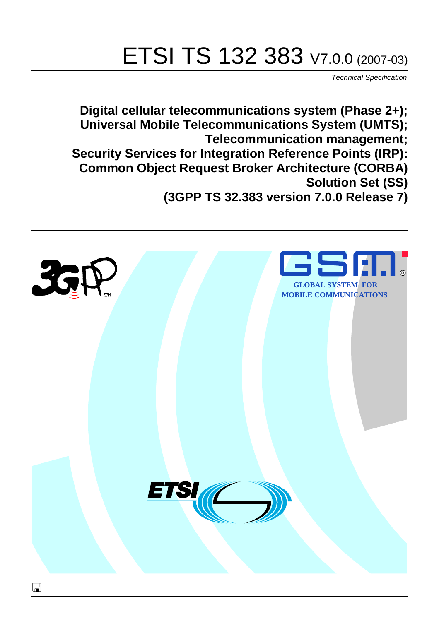# ETSI TS 132 383 V7.0.0 (2007-03)

Technical Specification

**Digital cellular telecommunications system (Phase 2+); Universal Mobile Telecommunications System (UMTS); Telecommunication management; Security Services for Integration Reference Points (IRP): Common Object Request Broker Architecture (CORBA) Solution Set (SS) (3GPP TS 32.383 version 7.0.0 Release 7)**

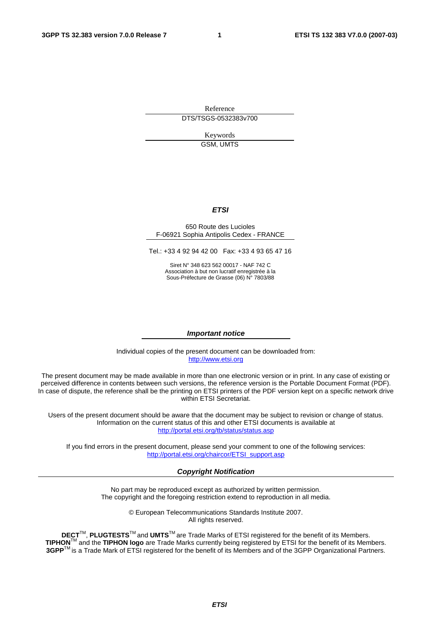Reference DTS/TSGS-0532383v700

> Keywords GSM, UMTS

#### **ETSI**

#### 650 Route des Lucioles F-06921 Sophia Antipolis Cedex - FRANCE

Tel.: +33 4 92 94 42 00 Fax: +33 4 93 65 47 16

Siret N° 348 623 562 00017 - NAF 742 C Association à but non lucratif enregistrée à la Sous-Préfecture de Grasse (06) N° 7803/88

#### **Important notice**

Individual copies of the present document can be downloaded from: [http://www.etsi.org](http://www.etsi.org/)

The present document may be made available in more than one electronic version or in print. In any case of existing or perceived difference in contents between such versions, the reference version is the Portable Document Format (PDF). In case of dispute, the reference shall be the printing on ETSI printers of the PDF version kept on a specific network drive within ETSI Secretariat.

Users of the present document should be aware that the document may be subject to revision or change of status. Information on the current status of this and other ETSI documents is available at <http://portal.etsi.org/tb/status/status.asp>

If you find errors in the present document, please send your comment to one of the following services: [http://portal.etsi.org/chaircor/ETSI\\_support.asp](http://portal.etsi.org/chaircor/ETSI_support.asp)

#### **Copyright Notification**

No part may be reproduced except as authorized by written permission. The copyright and the foregoing restriction extend to reproduction in all media.

> © European Telecommunications Standards Institute 2007. All rights reserved.

**DECT**TM, **PLUGTESTS**TM and **UMTS**TM are Trade Marks of ETSI registered for the benefit of its Members. **TIPHON**TM and the **TIPHON logo** are Trade Marks currently being registered by ETSI for the benefit of its Members. **3GPP**TM is a Trade Mark of ETSI registered for the benefit of its Members and of the 3GPP Organizational Partners.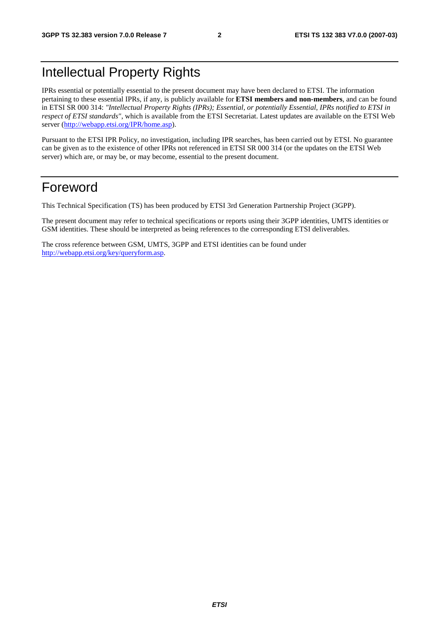## Intellectual Property Rights

IPRs essential or potentially essential to the present document may have been declared to ETSI. The information pertaining to these essential IPRs, if any, is publicly available for **ETSI members and non-members**, and can be found in ETSI SR 000 314: *"Intellectual Property Rights (IPRs); Essential, or potentially Essential, IPRs notified to ETSI in respect of ETSI standards"*, which is available from the ETSI Secretariat. Latest updates are available on the ETSI Web server ([http://webapp.etsi.org/IPR/home.asp\)](http://webapp.etsi.org/IPR/home.asp).

Pursuant to the ETSI IPR Policy, no investigation, including IPR searches, has been carried out by ETSI. No guarantee can be given as to the existence of other IPRs not referenced in ETSI SR 000 314 (or the updates on the ETSI Web server) which are, or may be, or may become, essential to the present document.

#### Foreword

This Technical Specification (TS) has been produced by ETSI 3rd Generation Partnership Project (3GPP).

The present document may refer to technical specifications or reports using their 3GPP identities, UMTS identities or GSM identities. These should be interpreted as being references to the corresponding ETSI deliverables.

The cross reference between GSM, UMTS, 3GPP and ETSI identities can be found under [http://webapp.etsi.org/key/queryform.asp.](http://webapp.etsi.org/key/queryform.asp)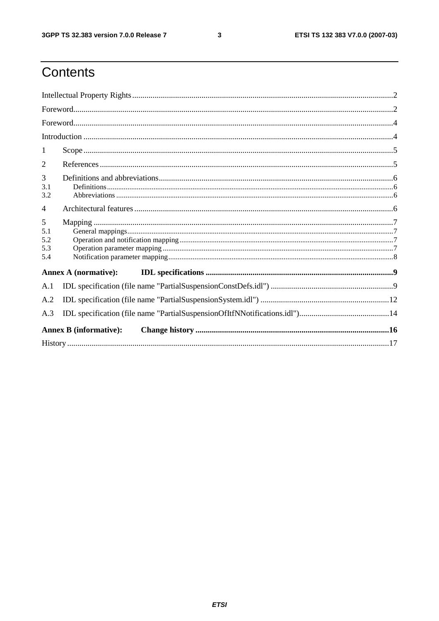#### $\mathbf{3}$

## Contents

| 1                             |  |
|-------------------------------|--|
| 2                             |  |
| 3<br>3.1<br>3.2               |  |
| $\overline{4}$                |  |
| 5<br>5.1<br>5.2<br>5.3<br>5.4 |  |
| Annex A (normative):          |  |
| A.1                           |  |
| A.2                           |  |
| A.3                           |  |
| <b>Annex B</b> (informative): |  |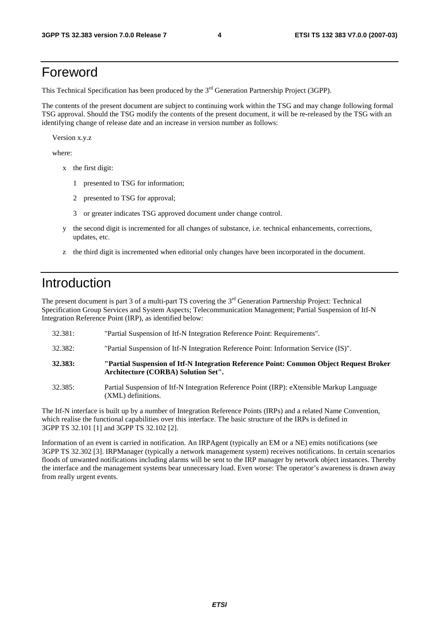#### Foreword

This Technical Specification has been produced by the 3<sup>rd</sup> Generation Partnership Project (3GPP).

The contents of the present document are subject to continuing work within the TSG and may change following formal TSG approval. Should the TSG modify the contents of the present document, it will be re-released by the TSG with an identifying change of release date and an increase in version number as follows:

Version x.y.z

where:

- x the first digit:
	- 1 presented to TSG for information;
	- 2 presented to TSG for approval;
	- 3 or greater indicates TSG approved document under change control.
- y the second digit is incremented for all changes of substance, i.e. technical enhancements, corrections, updates, etc.
- z the third digit is incremented when editorial only changes have been incorporated in the document.

#### Introduction

The present document is part 3 of a multi-part TS covering the 3<sup>rd</sup> Generation Partnership Project: Technical Specification Group Services and System Aspects; Telecommunication Management; Partial Suspension of Itf-N Integration Reference Point (IRP), as identified below:

- 32.381: "Partial Suspension of Itf-N Integration Reference Point: Requirements".
- 32.382: "Partial Suspension of Itf-N Integration Reference Point: Information Service (IS)".
- **32.383: "Partial Suspension of Itf-N Integration Reference Point: Common Object Request Broker Architecture (CORBA) Solution Set".**
- 32.385: Partial Suspension of Itf-N Integration Reference Point (IRP): eXtensible Markup Language (XML) definitions.

The Itf-N interface is built up by a number of Integration Reference Points (IRPs) and a related Name Convention, which realise the functional capabilities over this interface. The basic structure of the IRPs is defined in 3GPP TS 32.101 [1] and 3GPP TS 32.102 [2].

Information of an event is carried in notification. An IRPAgent (typically an EM or a NE) emits notifications (see 3GPP TS 32.302 [3]. IRPManager (typically a network management system) receives notifications. In certain scenarios floods of unwanted notifications including alarms will be sent to the IRP manager by network object instances. Thereby the interface and the management systems bear unnecessary load. Even worse: The operator's awareness is drawn away from really urgent events.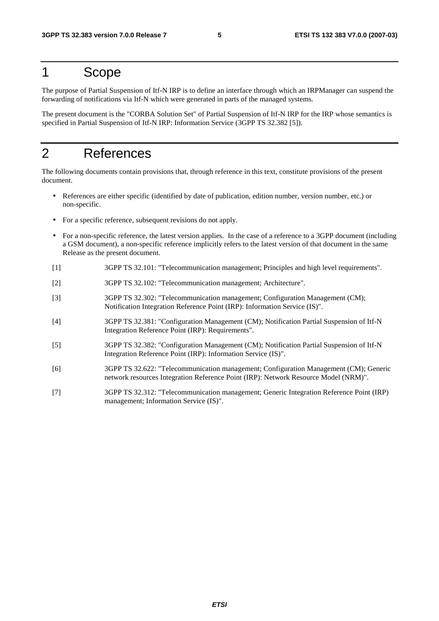#### 1 Scope

The purpose of Partial Suspension of Itf-N IRP is to define an interface through which an IRPManager can suspend the forwarding of notifications via Itf-N which were generated in parts of the managed systems.

The present document is the "CORBA Solution Set" of Partial Suspension of Itf-N IRP for the IRP whose semantics is specified in Partial Suspension of Itf-N IRP: Information Service (3GPP TS 32.382 [5]).

## 2 References

The following documents contain provisions that, through reference in this text, constitute provisions of the present document.

- References are either specific (identified by date of publication, edition number, version number, etc.) or non-specific.
- For a specific reference, subsequent revisions do not apply.
- For a non-specific reference, the latest version applies. In the case of a reference to a 3GPP document (including a GSM document), a non-specific reference implicitly refers to the latest version of that document in the same Release as the present document.
- [1] 3GPP TS 32.101: "Telecommunication management; Principles and high level requirements".
- [2] 3GPP TS 32.102: "Telecommunication management; Architecture".
- [3] 3GPP TS 32.302: "Telecommunication management; Configuration Management (CM); Notification Integration Reference Point (IRP): Information Service (IS)".
- [4] 3GPP TS 32.381: "Configuration Management (CM); Notification Partial Suspension of Itf-N Integration Reference Point (IRP): Requirements".
- [5] 3GPP TS 32.382: "Configuration Management (CM); Notification Partial Suspension of Itf-N Integration Reference Point (IRP): Information Service (IS)".
- [6] 3GPP TS 32.622: "Telecommunication management; Configuration Management (CM); Generic network resources Integration Reference Point (IRP): Network Resource Model (NRM)".
- [7] 3GPP TS 32.312: "Telecommunication management; Generic Integration Reference Point (IRP) management; Information Service (IS)".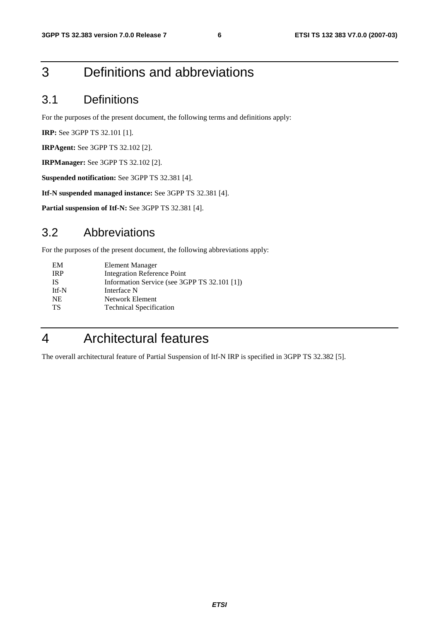### 3 Definitions and abbreviations

#### 3.1 Definitions

For the purposes of the present document, the following terms and definitions apply:

**IRP:** See 3GPP TS 32.101 [1].

**IRPAgent:** See 3GPP TS 32.102 [2].

**IRPManager:** See 3GPP TS 32.102 [2].

**Suspended notification:** See 3GPP TS 32.381 [4].

**Itf-N suspended managed instance:** See 3GPP TS 32.381 [4].

**Partial suspension of Itf-N:** See 3GPP TS 32.381 [4].

#### 3.2 Abbreviations

For the purposes of the present document, the following abbreviations apply:

| Information Service (see 3GPP TS 32.101 [1]) |
|----------------------------------------------|
|                                              |
|                                              |
|                                              |
|                                              |

## 4 Architectural features

The overall architectural feature of Partial Suspension of Itf-N IRP is specified in 3GPP TS 32.382 [5].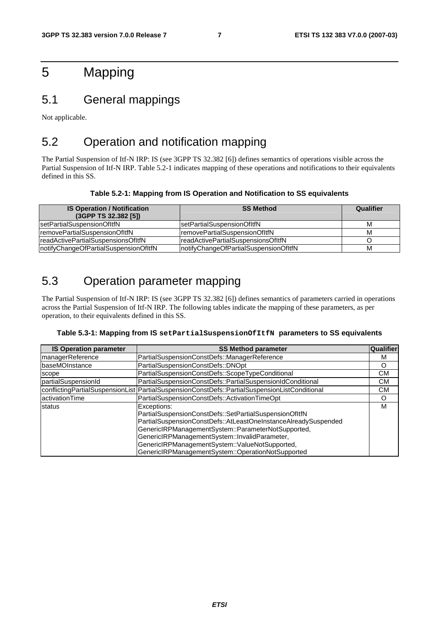## 5 Mapping

#### 5.1 General mappings

Not applicable.

#### 5.2 Operation and notification mapping

The Partial Suspension of Itf-N IRP: IS (see 3GPP TS 32.382 [6]) defines semantics of operations visible across the Partial Suspension of Itf-N IRP. Table 5.2-1 indicates mapping of these operations and notifications to their equivalents defined in this SS.

#### **Table 5.2-1: Mapping from IS Operation and Notification to SS equivalents**

| <b>IS Operation / Notification</b><br>(3GPP TS 32.382 [5]) | <b>SS Method</b>                       | Qualifier |
|------------------------------------------------------------|----------------------------------------|-----------|
| setPartialSuspensionOfItfN                                 | IsetPartialSuspensionOfItfN            | M         |
| removePartialSuspensionOfItfN                              | IremovePartialSuspensionOfItfN         | M         |
| readActivePartialSuspensionsOfItfN                         | IreadActivePartialSuspensionsOfItfN    |           |
| notifyChangeOfPartialSuspensionOfItfN                      | InotifyChangeOfPartialSuspensionOfItfN | M         |

#### 5.3 Operation parameter mapping

The Partial Suspension of Itf-N IRP: IS (see 3GPP TS 32.382 [6]) defines semantics of parameters carried in operations across the Partial Suspension of Itf-N IRP. The following tables indicate the mapping of these parameters, as per operation, to their equivalents defined in this SS.

#### **Table 5.3-1: Mapping from IS setPartialSuspensionOfItfN parameters to SS equivalents**

| <b>IS Operation parameter</b> | <b>SS Method parameter</b>                                                                                                                                                                                                                                                                                                                            | Qualifier |
|-------------------------------|-------------------------------------------------------------------------------------------------------------------------------------------------------------------------------------------------------------------------------------------------------------------------------------------------------------------------------------------------------|-----------|
| managerReference              | PartialSuspensionConstDefs::ManagerReference                                                                                                                                                                                                                                                                                                          | М         |
| baseMOInstance                | PartialSuspensionConstDefs::DNOpt                                                                                                                                                                                                                                                                                                                     | O         |
| scope                         | PartialSuspensionConstDefs::ScopeTypeConditional                                                                                                                                                                                                                                                                                                      | CМ        |
| partialSuspensionId           | PartialSuspensionConstDefs::PartialSuspensionIdConditional                                                                                                                                                                                                                                                                                            | CМ        |
|                               | conflictingPartialSuspensionList PartialSuspensionConstDefs::PartialSuspensionListConditional                                                                                                                                                                                                                                                         | CМ        |
| activationTime                | PartialSuspensionConstDefs::ActivationTimeOpt                                                                                                                                                                                                                                                                                                         | O         |
| status                        | Exceptions:<br>PartialSuspensionConstDefs::SetPartialSuspensionOfItfN<br>PartialSuspensionConstDefs::AtLeastOneInstanceAlreadySuspended<br>GenericIRPManagementSystem::ParameterNotSupported,<br>GenericIRPManagementSystem::InvalidParameter,<br>GenericIRPManagementSystem::ValueNotSupported,<br>GenericIRPManagementSystem::OperationNotSupported | м         |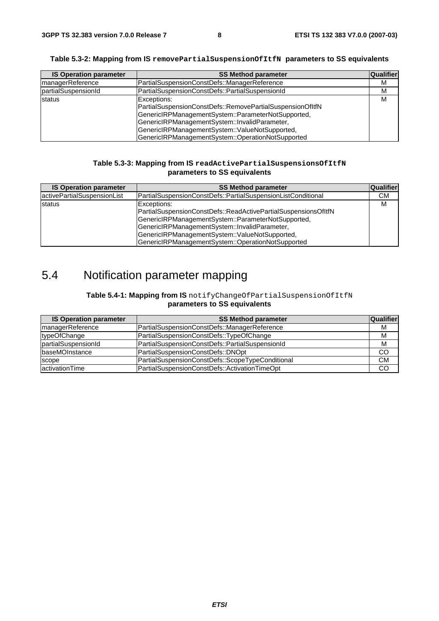| Table 5.3-2: Mapping from IS ${\tt removePartials}$ uspen ${\tt sidSub}($ parameters to SS equivalents |  |
|--------------------------------------------------------------------------------------------------------|--|
|                                                                                                        |  |

| <b>IS Operation parameter</b> | <b>SS Method parameter</b>                                                                                                                                                                                                                                                             | Qualifier |
|-------------------------------|----------------------------------------------------------------------------------------------------------------------------------------------------------------------------------------------------------------------------------------------------------------------------------------|-----------|
| managerReference              | PartialSuspensionConstDefs::ManagerReference                                                                                                                                                                                                                                           | м         |
| partialSuspensionId           | PartialSuspensionConstDefs::PartialSuspensionId                                                                                                                                                                                                                                        | M         |
| status                        | Exceptions:<br>PartialSuspensionConstDefs::RemovePartialSuspensionOfItfN<br>GenericIRPManagementSystem::ParameterNotSupported,<br>GenericIRPManagementSystem::InvalidParameter,<br>GenericIRPManagementSystem::ValueNotSupported,<br>GenericIRPManagementSystem::OperationNotSupported | м         |

#### **Table 5.3-3: Mapping from IS readActivePartialSuspensionsOfItfN parameters to SS equivalents**

| <b>IS Operation parameter</b> | <b>SS Method parameter</b>                                                                                                                                                                                                                                                                  | <b>Qualifier</b> |
|-------------------------------|---------------------------------------------------------------------------------------------------------------------------------------------------------------------------------------------------------------------------------------------------------------------------------------------|------------------|
| activePartialSuspensionList   | PartialSuspensionConstDefs::PartialSuspensionListConditional                                                                                                                                                                                                                                | CМ               |
| status                        | Exceptions:<br>PartialSuspensionConstDefs::ReadActivePartialSuspensionsOfItfN<br>GenericIRPManagementSystem::ParameterNotSupported,<br>GenericIRPManagementSystem::InvalidParameter,<br>GenericIRPManagementSystem::ValueNotSupported,<br>GenericIRPManagementSystem::OperationNotSupported | м                |

## 5.4 Notification parameter mapping

#### **Table 5.4-1: Mapping from IS** notifyChangeOfPartialSuspensionOfItfN **parameters to SS equivalents**

| <b>IS Operation parameter</b> | <b>SS Method parameter</b>                       | <b>Qualifier</b> |
|-------------------------------|--------------------------------------------------|------------------|
| managerReference              | PartialSuspensionConstDefs::ManagerReference     | M                |
| typeOfChange                  | PartialSuspensionConstDefs::TypeOfChange         | M                |
| partialSuspensionId           | PartialSuspensionConstDefs::PartialSuspensionId  | M                |
| <b>baseMOInstance</b>         | PartialSuspensionConstDefs::DNOpt                | CO               |
| scope                         | PartialSuspensionConstDefs::ScopeTypeConditional | <b>CM</b>        |
| activationTime                | PartialSuspensionConstDefs::ActivationTimeOpt    | CO               |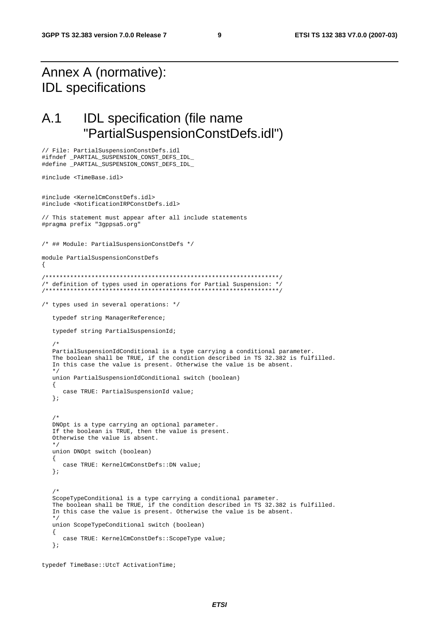### Annex A (normative): IDL specifications

// File: PartialSuspensionConstDefs.idl

#### A.1 IDL specification (file name "PartialSuspensionConstDefs.idl")

```
#ifndef _PARTIAL_SUSPENSION_CONST_DEFS_IDL_ 
#define _PARTIAL_SUSPENSION_CONST_DEFS_IDL_ 
#include <TimeBase.idl> 
#include <KernelCmConstDefs.idl> 
#include <NotificationIRPConstDefs.idl> 
// This statement must appear after all include statements 
#pragma prefix "3gppsa5.org" 
/* ## Module: PartialSuspensionConstDefs */ 
module PartialSuspensionConstDefs 
{ 
/******************************************************************/ 
/* definition of types used in operations for Partial Suspension: */ 
/******************************************************************/ 
/* types used in several operations: */ 
    typedef string ManagerReference; 
    typedef string PartialSuspensionId; 
    /* 
    PartialSuspensionIdConditional is a type carrying a conditional parameter. 
    The boolean shall be TRUE, if the condition described in TS 32.382 is fulfilled. 
    In this case the value is present. Otherwise the value is be absent. 
 */ 
   union PartialSuspensionIdConditional switch (boolean) 
    { 
       case TRUE: PartialSuspensionId value; 
    }; 
    /* 
   DNOpt is a type carrying an optional parameter. 
    If the boolean is TRUE, then the value is present. 
    Otherwise the value is absent. 
    */ 
   union DNOpt switch (boolean) 
    { 
       case TRUE: KernelCmConstDefs::DN value; 
    }; 
/ *
    ScopeTypeConditional is a type carrying a conditional parameter. 
    The boolean shall be TRUE, if the condition described in TS 32.382 is fulfilled. 
    In this case the value is present. Otherwise the value is be absent. 
    */ 
   union ScopeTypeConditional switch (boolean) 
    { 
       case TRUE: KernelCmConstDefs::ScopeType value; 
    };
```

```
typedef TimeBase::UtcT ActivationTime;
```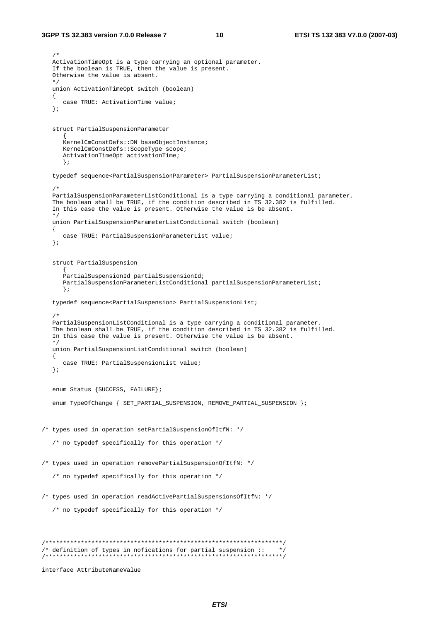```
 /* 
   ActivationTimeOpt is a type carrying an optional parameter. 
    If the boolean is TRUE, then the value is present. 
    Otherwise the value is absent. 
 */ 
    union ActivationTimeOpt switch (boolean) 
    { 
       case TRUE: ActivationTime value; 
    }; 
    struct PartialSuspensionParameter 
\left\{ \begin{array}{ccc} 1 & 1 \\ 1 & 1 \end{array} \right\} KernelCmConstDefs::DN baseObjectInstance; 
       KernelCmConstDefs::ScopeType scope; 
       ActivationTimeOpt activationTime; 
       }; 
    typedef sequence<PartialSuspensionParameter> PartialSuspensionParameterList; 
    /* 
    PartialSuspensionParameterListConditional is a type carrying a conditional parameter. 
    The boolean shall be TRUE, if the condition described in TS 32.382 is fulfilled. 
    In this case the value is present. Otherwise the value is be absent. 
 */ 
   union PartialSuspensionParameterListConditional switch (boolean) 
    { 
      case TRUE: PartialSuspensionParameterList value; 
    }; 
    struct PartialSuspension 
       { 
       PartialSuspensionId partialSuspensionId; 
       PartialSuspensionParameterListConditional partialSuspensionParameterList; 
       }; 
    typedef sequence<PartialSuspension> PartialSuspensionList; 
    /* 
    PartialSuspensionListConditional is a type carrying a conditional parameter. 
    The boolean shall be TRUE, if the condition described in TS 32.382 is fulfilled. 
    In this case the value is present. Otherwise the value is be absent. 
    */ 
   union PartialSuspensionListConditional switch (boolean) 
    { 
       case TRUE: PartialSuspensionList value; 
    }; 
    enum Status {SUCCESS, FAILURE}; 
    enum TypeOfChange { SET_PARTIAL_SUSPENSION, REMOVE_PARTIAL_SUSPENSION }; 
/* types used in operation setPartialSuspensionOfItfN: */ 
    /* no typedef specifically for this operation */ 
/* types used in operation removePartialSuspensionOfItfN: */ 
    /* no typedef specifically for this operation */ 
/* types used in operation readActivePartialSuspensionsOfItfN: */ 
    /* no typedef specifically for this operation */ 
/*******************************************************************/ 
/* definition of types in nofications for partial suspension :: */
/*******************************************************************/ 
interface AttributeNameValue
```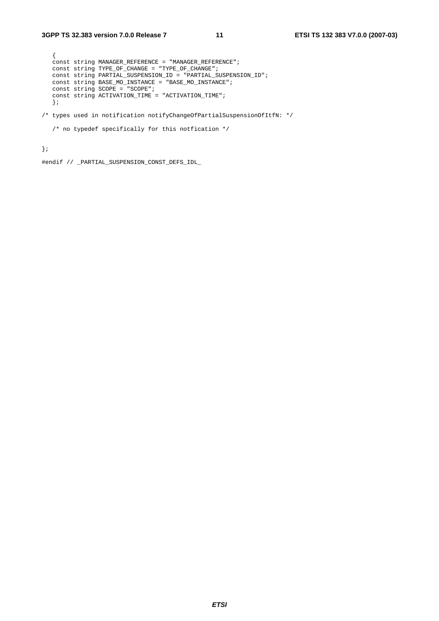```
 { 
   const string MANAGER_REFERENCE = "MANAGER_REFERENCE"; 
   const string TYPE_OF_CHANGE = "TYPE_OF_CHANGE"; 
   const string PARTIAL_SUSPENSION_ID = "PARTIAL_SUSPENSION_ID"; 
 const string BASE_MO_INSTANCE = "BASE_MO_INSTANCE"; 
 const string SCOPE = "SCOPE"; 
   const string ACTIVATION_TIME = "ACTIVATION_TIME"; 
   };
```
/\* types used in notification notifyChangeOfPartialSuspensionOfItfN: \*/

```
\prime^{\star} no typedef specifically for this notfication */
```
};

#endif // \_PARTIAL\_SUSPENSION\_CONST\_DEFS\_IDL\_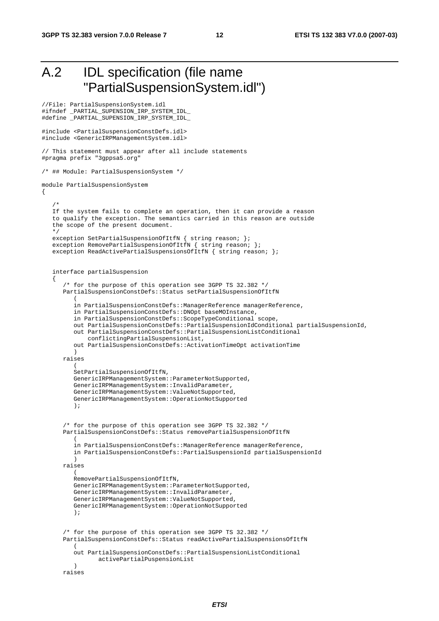## A.2 IDL specification (file name "PartialSuspensionSystem.idl")

```
//File: PartialSuspensionSystem.idl 
#ifndef _PARTIAL_SUPENSION_IRP_SYSTEM_IDL_ 
#define _PARTIAL_SUPENSION_IRP_SYSTEM_IDL_ 
#include <PartialSuspensionConstDefs.idl> 
#include <GenericIRPManagementSystem.idl> 
// This statement must appear after all include statements 
#pragma prefix "3gppsa5.org" 
/* ## Module: PartialSuspensionSystem */ 
module PartialSuspensionSystem 
{ 
    /* 
    If the system fails to complete an operation, then it can provide a reason 
    to qualify the exception. The semantics carried in this reason are outside 
    the scope of the present document. 
 */ 
   exception SetPartialSuspensionOfItfN { string reason; };
   exception RemovePartialSuspensionOfItfN { string reason; };
   exception ReadActivePartialSuspensionsOfItfN { string reason; };
    interface partialSuspension 
\{ /* for the purpose of this operation see 3GPP TS 32.382 */ 
       PartialSuspensionConstDefs::Status setPartialSuspensionOfItfN 
\overline{a} in PartialSuspensionConstDefs::ManagerReference managerReference, 
          in PartialSuspensionConstDefs::DNOpt baseMOInstance, 
          in PartialSuspensionConstDefs::ScopeTypeConditional scope, 
          out PartialSuspensionConstDefs::PartialSuspensionIdConditional partialSuspensionId, 
          out PartialSuspensionConstDefs::PartialSuspensionListConditional 
              conflictingPartialSuspensionList, 
          out PartialSuspensionConstDefs::ActivationTimeOpt activationTime 
 ) 
       raises 
\overline{a} SetPartialSuspensionOfItfN, 
          GenericIRPManagementSystem::ParameterNotSupported, 
          GenericIRPManagementSystem::InvalidParameter, 
          GenericIRPManagementSystem::ValueNotSupported, 
          GenericIRPManagementSystem::OperationNotSupported 
          ); 
       /* for the purpose of this operation see 3GPP TS 32.382 */ 
       PartialSuspensionConstDefs::Status removePartialSuspensionOfItfN 
\overline{a} in PartialSuspensionConstDefs::ManagerReference managerReference, 
          in PartialSuspensionConstDefs::PartialSuspensionId partialSuspensionId 
 ) 
       raises 
\overline{a} RemovePartialSuspensionOfItfN, 
          GenericIRPManagementSystem::ParameterNotSupported, 
          GenericIRPManagementSystem::InvalidParameter, 
          GenericIRPManagementSystem::ValueNotSupported, 
          GenericIRPManagementSystem::OperationNotSupported 
          ); 
       /* for the purpose of this operation see 3GPP TS 32.382 */ 
       PartialSuspensionConstDefs::Status readActivePartialSuspensionsOfItfN 
\overline{a} out PartialSuspensionConstDefs::PartialSuspensionListConditional 
                 activePartialPuspensionList 
 ) 
       raises
```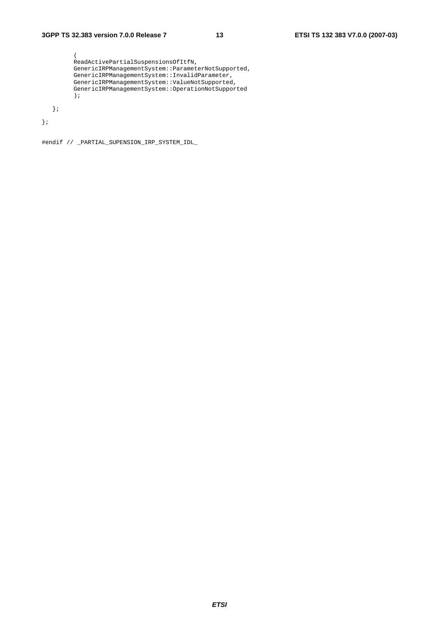```
 ( 
         ReadActivePartialSuspensionsOfItfN, 
 GenericIRPManagementSystem::ParameterNotSupported, 
 GenericIRPManagementSystem::InvalidParameter, 
 GenericIRPManagementSystem::ValueNotSupported, 
         GenericIRPManagementSystem::OperationNotSupported 
         ); 
   };
```
};

#endif // \_PARTIAL\_SUPENSION\_IRP\_SYSTEM\_IDL\_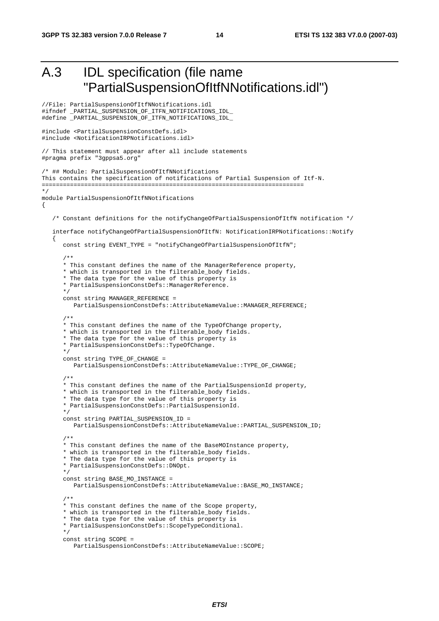```
A.3 IDL specification (file name 
            "PartialSuspensionOfItfNNotifications.idl") 
//File: PartialSuspensionOfItfNNotifications.idl 
#ifndef _PARTIAL_SUSPENSION_OF_ITFN_NOTIFICATIONS_IDL_ 
#define _PARTIAL_SUSPENSION_OF_ITFN_NOTIFICATIONS_IDL_ 
#include <PartialSuspensionConstDefs.idl> 
#include <NotificationIRPNotifications.idl> 
// This statement must appear after all include statements 
#pragma prefix "3gppsa5.org" 
/* ## Module: PartialSuspensionOfItfNNotifications 
This contains the specification of notifications of Partial Suspension of Itf-N. 
========================================================================== 
*/ 
module PartialSuspensionOfItfNNotifications 
{ 
    /* Constant definitions for the notifyChangeOfPartialSuspensionOfItfN notification */ 
    interface notifyChangeOfPartialSuspensionOfItfN: NotificationIRPNotifications::Notify 
\{ const string EVENT_TYPE = "notifyChangeOfPartialSuspensionOfItfN"; 
       /** 
       * This constant defines the name of the ManagerReference property, 
       * which is transported in the filterable_body fields. 
       * The data type for the value of this property is 
       * PartialSuspensionConstDefs::ManagerReference. 
       */ 
      const string MANAGER REFERENCE =
          PartialSuspensionConstDefs::AttributeNameValue::MANAGER_REFERENCE; 
       /** 
       * This constant defines the name of the TypeOfChange property, 
       * which is transported in the filterable_body fields. 
       * The data type for the value of this property is 
       * PartialSuspensionConstDefs::TypeOfChange. 
       */ 
      const string TYPE OF CHANGE =
          PartialSuspensionConstDefs::AttributeNameValue::TYPE_OF_CHANGE; 
       /** 
       * This constant defines the name of the PartialSuspensionId property, 
       * which is transported in the filterable_body fields. 
       * The data type for the value of this property is 
       * PartialSuspensionConstDefs::PartialSuspensionId. 
       */ 
       const string PARTIAL_SUSPENSION_ID = 
          PartialSuspensionConstDefs::AttributeNameValue::PARTIAL_SUSPENSION_ID; 
       /** 
       * This constant defines the name of the BaseMOInstance property, 
       * which is transported in the filterable_body fields. 
       * The data type for the value of this property is 
       * PartialSuspensionConstDefs::DNOpt. 
       */ 
       const string BASE_MO_INSTANCE = 
          PartialSuspensionConstDefs::AttributeNameValue::BASE_MO_INSTANCE; 
       /** 
       * This constant defines the name of the Scope property, 
       * which is transported in the filterable_body fields. 
       * The data type for the value of this property is 
       * PartialSuspensionConstDefs::ScopeTypeConditional. 
       */ 
       const string SCOPE = 
          PartialSuspensionConstDefs::AttributeNameValue::SCOPE;
```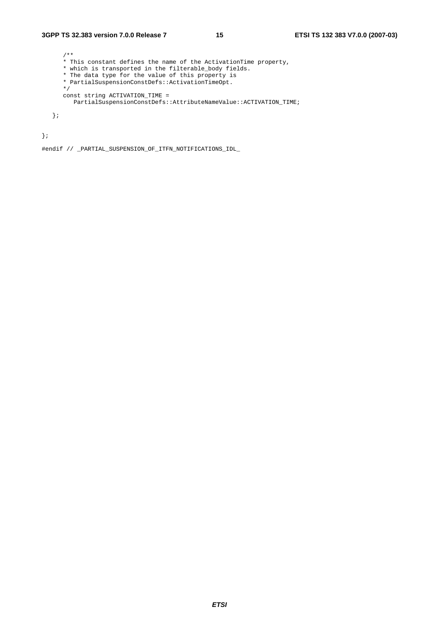#### **3GPP TS 32.383 version 7.0.0 Release 7 15 ETSI TS 132 383 V7.0.0 (2007-03)**

```
 /** 
 * This constant defines the name of the ActivationTime property, 
 * which is transported in the filterable_body fields. 
      * The data type for the value of this property is 
      * PartialSuspensionConstDefs::ActivationTimeOpt. 
      */ 
      const string ACTIVATION_TIME = 
        PartialSuspensionConstDefs::AttributeNameValue::ACTIVATION_TIME;
```
};

};

#endif // \_PARTIAL\_SUSPENSION\_OF\_ITFN\_NOTIFICATIONS\_IDL\_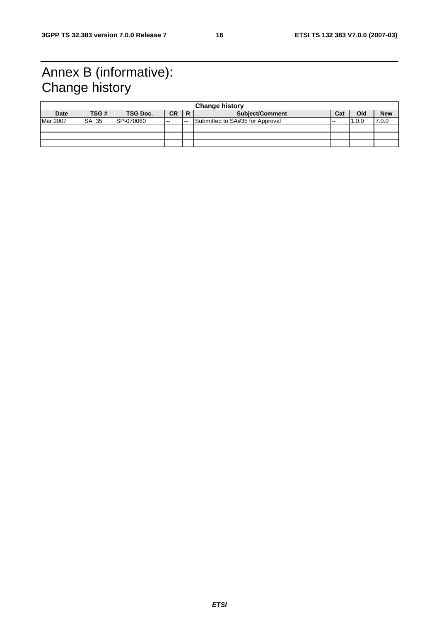## Annex B (informative): Change history

|          | <b>Change history</b> |                 |           |    |                                 |               |       |            |
|----------|-----------------------|-----------------|-----------|----|---------------------------------|---------------|-------|------------|
| Date     | TSG #                 | <b>TSG Doc.</b> | <b>CR</b> |    | <b>Subject/Comment</b>          | Cat           | Old   | <b>New</b> |
| Mar 2007 | SA 35                 | SP-070060       | $- -$     | -- | Submitted to SA#35 for Approval | $\sim$ $\sim$ | 1.0.0 | 7.0.0      |
|          |                       |                 |           |    |                                 |               |       |            |
|          |                       |                 |           |    |                                 |               |       |            |
|          |                       |                 |           |    |                                 |               |       |            |